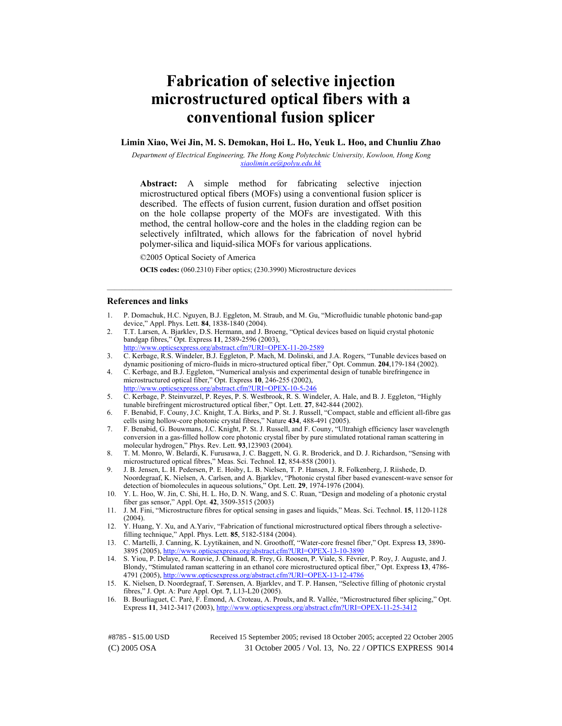# **Fabrication of selective injection microstructured optical fibers with a conventional fusion splicer**

## **Limin Xiao, Wei Jin, M. S. Demokan, Hoi L. Ho, Yeuk L. Hoo, and Chunliu Zhao**

*Department of Electrical Engineering, The Hong Kong Polytechnic University, Kowloon, Hong Kong [xiaolimin.ee@polyu.edu.hk](mailto:xiaolimin.ee@polyu.edu.hk)*

**Abstract:** A simple method for fabricating selective injection microstructured optical fibers (MOFs) using a conventional fusion splicer is described. The effects of fusion current, fusion duration and offset position on the hole collapse property of the MOFs are investigated. With this method, the central hollow-core and the holes in the cladding region can be selectively infiltrated, which allows for the fabrication of novel hybrid polymer-silica and liquid-silica MOFs for various applications.

©2005 Optical Society of America

**OCIS codes:** (060.2310) Fiber optics; (230.3990) Microstructure devices

#### **References and links**

1. P. Domachuk, H.C. Nguyen, B.J. Eggleton, M. Straub, and M. Gu, "Microfluidic tunable photonic band-gap device," Appl. Phys. Lett. **84**, 1838-1840 (2004).

 $\mathcal{L}_\mathcal{L} = \{ \mathcal{L}_\mathcal{L} = \{ \mathcal{L}_\mathcal{L} = \{ \mathcal{L}_\mathcal{L} = \{ \mathcal{L}_\mathcal{L} = \{ \mathcal{L}_\mathcal{L} = \{ \mathcal{L}_\mathcal{L} = \{ \mathcal{L}_\mathcal{L} = \{ \mathcal{L}_\mathcal{L} = \{ \mathcal{L}_\mathcal{L} = \{ \mathcal{L}_\mathcal{L} = \{ \mathcal{L}_\mathcal{L} = \{ \mathcal{L}_\mathcal{L} = \{ \mathcal{L}_\mathcal{L} = \{ \mathcal{L}_\mathcal{$ 

- 2. T.T. Larsen, A. Bjarklev, D.S. Hermann, and J. Broeng, "Optical devices based on liquid crystal photonic bandgap fibres," Opt. Express **11**, 2589-2596 (2003), press.org/abstract.cfm?URI=OPEX-11-20-2589
- 3. C. Kerbage, R.S. Windeler, B.J. Eggleton, P. Mach, M. Dolinski, and J.A. Rogers, "Tunable devices based on dynamic positioning of micro-fluids in micro-structured optical fiber," Opt. Commun. **204**,179-184 (2002).
- 4. C. Kerbage, and B.J. Eggleton, "Numerical analysis and experimental design of tunable birefringence in microstructured optical fiber," Opt. Express **10**, 246-255 (2002), <http://www.opticsexpress.org/abstract.cfm?URI=OPEX-10-5-246>
- 5. C. Kerbage, P. Steinvurzel, P. Reyes, P. S. Westbrook, R. S. Windeler, A. Hale, and B. J. Eggleton, "Highly tunable birefringent microstructured optical fiber," Opt. Lett. **27**, 842-844 (2002).
- 6. F. Benabid, F. Couny, J.C. Knight, T.A. Birks, and P. St. J. Russell, "Compact, stable and efficient all-fibre gas cells using hollow-core photonic crystal fibres," Nature **434**, 488-491 (2005).
- 7. F. Benabid, G. Bouwmans, J.C. Knight, P. St. J. Russell, and F. Couny, "Ultrahigh efficiency laser wavelength conversion in a gas-filled hollow core photonic crystal fiber by pure stimulated rotational raman scattering in molecular hydrogen," Phys. Rev. Lett. **93**,123903 (2004).
- 8. T. M. Monro, W. Belardi, K. Furusawa, J. C. Baggett, N. G. R. Broderick, and D. J. Richardson, "Sensing with microstructured optical fibres," Meas. Sci. Technol. **12**, 854-858 (2001).
- 9. J. B. Jensen, L. H. Pedersen, P. E. Hoiby, L. B. Nielsen, T. P. Hansen, J. R. Folkenberg, J. Riishede, D. Noordegraaf, K. Nielsen, A. Carlsen, and A. Bjarklev, "Photonic crystal fiber based evanescent-wave sensor for detection of biomolecules in aqueous solutions," Opt. Lett. **29**, 1974-1976 (2004).
- 10. Y. L. Hoo, W. Jin, C. Shi, H. L. Ho, D. N. Wang, and S. C. Ruan, "Design and modeling of a photonic crystal fiber gas sensor," Appl. Opt. **42**, 3509-3515 (2003)
- 11. J. M. Fini, "Microstructure fibres for optical sensing in gases and liquids," Meas. Sci. Technol. **15**, 1120-1128  $(2004)$
- 12. Y. Huang, Y. Xu, and A.Yariv, "Fabrication of functional microstructured optical fibers through a selectivefilling technique," Appl. Phys. Lett. **85**, 5182-5184 (2004).
- 13. C. Martelli, J. Canning, K. Lyytikainen, and N. Groothoff, "Water-core fresnel fiber," Opt. Express **13**, 3890- 3895 (2005), <http://www.opticsexpress.org/abstract.cfm?URI=OPEX-13-10-3890>
- 14. S. Yiou, P. Delaye, A. Rouvie, J. Chinaud, R. Frey, G. Roosen, P. Viale, S. Février, P. Roy, J. Auguste, and J. Blondy, "Stimulated raman scattering in an ethanol core microstructured optical fiber," Opt. Express **13**, 4786- 4791 (2005), <http://www.opticsexpress.org/abstract.cfm?URI=OPEX-13-12-4786>
- 15. K. Nielsen, D. Noordegraaf, T. Sørensen, A. Bjarklev, and T. P. Hansen, "Selective filling of photonic crystal fibres," J. Opt. A: Pure Appl. Opt. **7**, L13-L20 (2005).
- 16. B. Bourliaguet, C. Paré, F. Émond, A. Croteau, A. Proulx, and R. Vallée, "Microstructured fiber splicing," Opt. Express **11**, 3412-3417 (2003), <http://www.opticsexpress.org/abstract.cfm?URI=OPEX-11-25-3412>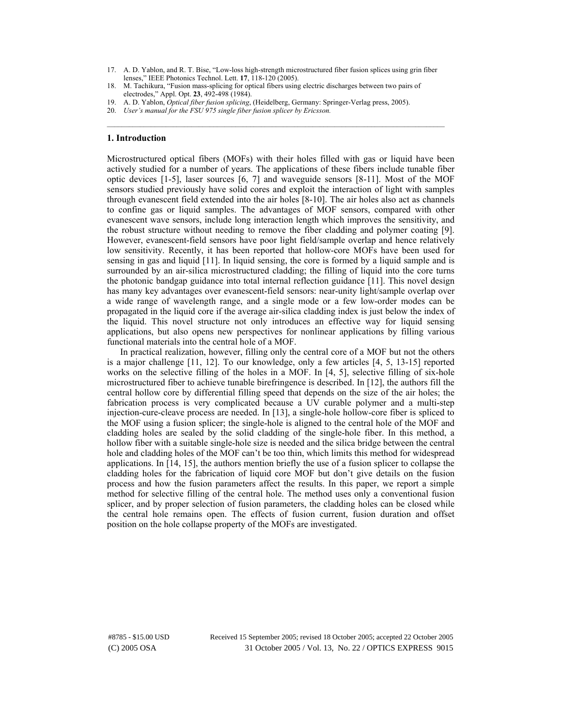17. A. D. Yablon, and R. T. Bise, "Low-loss high-strength microstructured fiber fusion splices using grin fiber lenses," IEEE Photonics Technol. Lett. **17**, 118-120 (2005).

 $\mathcal{L}_\mathcal{L} = \{ \mathcal{L}_\mathcal{L} = \{ \mathcal{L}_\mathcal{L} = \{ \mathcal{L}_\mathcal{L} = \{ \mathcal{L}_\mathcal{L} = \{ \mathcal{L}_\mathcal{L} = \{ \mathcal{L}_\mathcal{L} = \{ \mathcal{L}_\mathcal{L} = \{ \mathcal{L}_\mathcal{L} = \{ \mathcal{L}_\mathcal{L} = \{ \mathcal{L}_\mathcal{L} = \{ \mathcal{L}_\mathcal{L} = \{ \mathcal{L}_\mathcal{L} = \{ \mathcal{L}_\mathcal{L} = \{ \mathcal{L}_\mathcal{$ 

## **1. Introduction**

Microstructured optical fibers (MOFs) with their holes filled with gas or liquid have been actively studied for a number of years. The applications of these fibers include tunable fiber optic devices [1-5], laser sources [6, 7] and waveguide sensors [8-11]. Most of the MOF sensors studied previously have solid cores and exploit the interaction of light with samples through evanescent field extended into the air holes [8-10]. The air holes also act as channels to confine gas or liquid samples. The advantages of MOF sensors, compared with other evanescent wave sensors, include long interaction length which improves the sensitivity, and the robust structure without needing to remove the fiber cladding and polymer coating [9]. However, evanescent-field sensors have poor light field/sample overlap and hence relatively low sensitivity. Recently, it has been reported that hollow-core MOFs have been used for sensing in gas and liquid [11]. In liquid sensing, the core is formed by a liquid sample and is surrounded by an air-silica microstructured cladding; the filling of liquid into the core turns the photonic bandgap guidance into total internal reflection guidance [11]. This novel design has many key advantages over evanescent-field sensors: near-unity light/sample overlap over a wide range of wavelength range, and a single mode or a few low-order modes can be propagated in the liquid core if the average air-silica cladding index is just below the index of the liquid. This novel structure not only introduces an effective way for liquid sensing applications, but also opens new perspectives for nonlinear applications by filling various functional materials into the central hole of a MOF.

In practical realization, however, filling only the central core of a MOF but not the others is a major challenge [11, 12]. To our knowledge, only a few articles [4, 5, 13-15] reported works on the selective filling of the holes in a MOF. In [4, 5], selective filling of six-hole microstructured fiber to achieve tunable birefringence is described. In [12], the authors fill the central hollow core by differential filling speed that depends on the size of the air holes; the fabrication process is very complicated because a UV curable polymer and a multi-step injection-cure-cleave process are needed. In [13], a single-hole hollow-core fiber is spliced to the MOF using a fusion splicer; the single-hole is aligned to the central hole of the MOF and cladding holes are sealed by the solid cladding of the single-hole fiber. In this method, a hollow fiber with a suitable single-hole size is needed and the silica bridge between the central hole and cladding holes of the MOF can't be too thin, which limits this method for widespread applications. In [14, 15], the authors mention briefly the use of a fusion splicer to collapse the cladding holes for the fabrication of liquid core MOF but don't give details on the fusion process and how the fusion parameters affect the results. In this paper, we report a simple method for selective filling of the central hole. The method uses only a conventional fusion splicer, and by proper selection of fusion parameters, the cladding holes can be closed while the central hole remains open. The effects of fusion current, fusion duration and offset position on the hole collapse property of the MOFs are investigated.

<sup>18.</sup> M. Tachikura, "Fusion mass-splicing for optical fibers using electric discharges between two pairs of electrodes," Appl. Opt. **23**, 492-498 (1984).

<sup>19.</sup> A. D. Yablon, *Optical fiber fusion splicing*, (Heidelberg, Germany: Springer-Verlag press, 2005).

<sup>20.</sup> *User's manual for the FSU 975 single fiber fusion splicer by Ericsson.*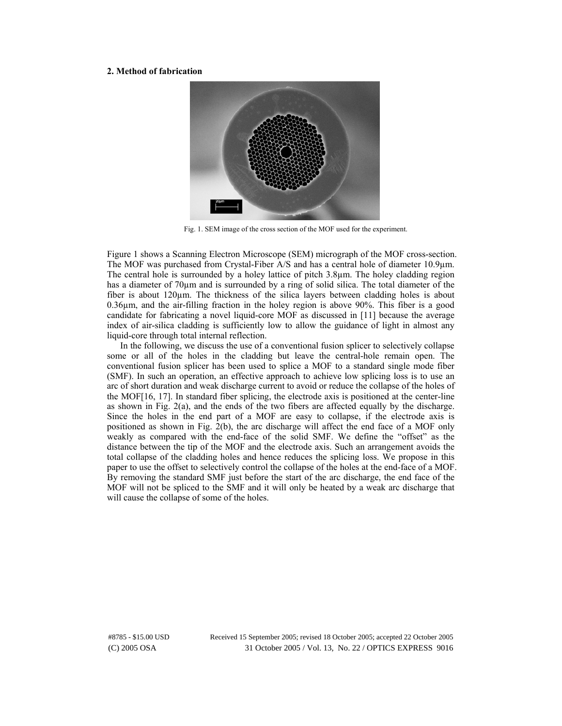#### **2. Method of fabrication**



Fig. 1. SEM image of the cross section of the MOF used for the experiment.

Figure 1 shows a Scanning Electron Microscope (SEM) micrograph of the MOF cross-section. The MOF was purchased from Crystal-Fiber A/S and has a central hole of diameter 10.9µm. The central hole is surrounded by a holey lattice of pitch 3.8µm. The holey cladding region has a diameter of 70 $\mu$ m and is surrounded by a ring of solid silica. The total diameter of the fiber is about 120µm. The thickness of the silica layers between cladding holes is about 0.36µm, and the air-filling fraction in the holey region is above 90%. This fiber is a good candidate for fabricating a novel liquid-core MOF as discussed in [11] because the average index of air-silica cladding is sufficiently low to allow the guidance of light in almost any liquid-core through total internal reflection.

In the following, we discuss the use of a conventional fusion splicer to selectively collapse some or all of the holes in the cladding but leave the central-hole remain open. The conventional fusion splicer has been used to splice a MOF to a standard single mode fiber (SMF). In such an operation, an effective approach to achieve low splicing loss is to use an arc of short duration and weak discharge current to avoid or reduce the collapse of the holes of the MOF[16, 17]. In standard fiber splicing, the electrode axis is positioned at the center-line as shown in Fig.  $2(a)$ , and the ends of the two fibers are affected equally by the discharge. Since the holes in the end part of a MOF are easy to collapse, if the electrode axis is positioned as shown in Fig. 2(b), the arc discharge will affect the end face of a MOF only weakly as compared with the end-face of the solid SMF. We define the "offset" as the distance between the tip of the MOF and the electrode axis. Such an arrangement avoids the total collapse of the cladding holes and hence reduces the splicing loss. We propose in this paper to use the offset to selectively control the collapse of the holes at the end-face of a MOF. By removing the standard SMF just before the start of the arc discharge, the end face of the MOF will not be spliced to the SMF and it will only be heated by a weak arc discharge that will cause the collapse of some of the holes.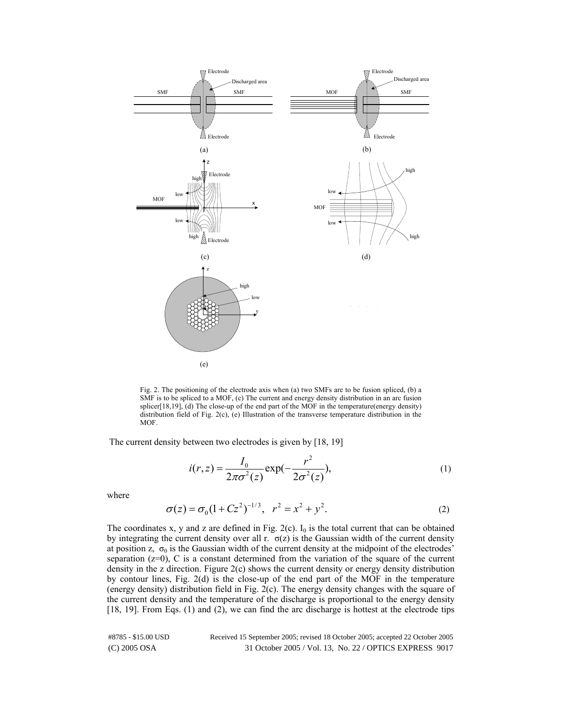

Fig. 2. The positioning of the electrode axis when (a) two SMFs are to be fusion spliced, (b) a SMF is to be spliced to a MOF, (c) The current and energy density distribution in an arc fusion splicer[18,19], (d) The close-up of the end part of the MOF in the temperature(energy density) distribution field of Fig. 2(c), (e) Illustration of the transverse temperature distribution in the MOF.

The current density between two electrodes is given by [18, 19]

$$
i(r,z) = \frac{I_0}{2\pi\sigma^2(z)} \exp(-\frac{r^2}{2\sigma^2(z)}),
$$
 (1)

where

$$
\sigma(z) = \sigma_0 (1 + Cz^2)^{-1/3}, \quad r^2 = x^2 + y^2. \tag{2}
$$

The coordinates x, y and z are defined in Fig. 2(c).  $I_0$  is the total current that can be obtained by integrating the current density over all r.  $\sigma(z)$  is the Gaussian width of the current density at position z,  $\sigma_0$  is the Gaussian width of the current density at the midpoint of the electrodes' separation  $(z=0)$ , C is a constant determined from the variation of the square of the current density in the z direction. Figure 2(c) shows the current density or energy density distribution by contour lines, Fig. 2(d) is the close-up of the end part of the MOF in the temperature (energy density) distribution field in Fig. 2(c). The energy density changes with the square of the current density and the temperature of the discharge is proportional to the energy density [18, 19]. From Eqs. (1) and (2), we can find the arc discharge is hottest at the electrode tips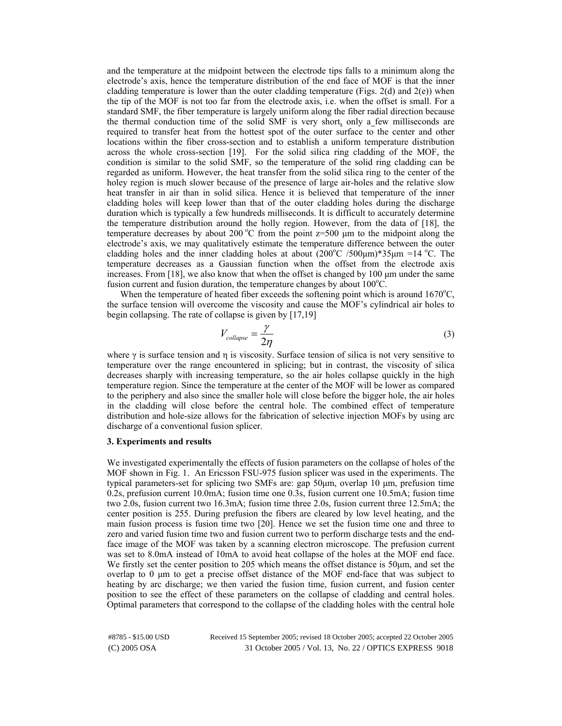and the temperature at the midpoint between the electrode tips falls to a minimum along the electrode's axis, hence the temperature distribution of the end face of MOF is that the inner cladding temperature is lower than the outer cladding temperature (Figs.  $2(d)$  and  $2(e)$ ) when the tip of the MOF is not too far from the electrode axis, i.e. when the offset is small. For a standard SMF, the fiber temperature is largely uniform along the fiber radial direction because the thermal conduction time of the solid SMF is very short, only a few milliseconds are required to transfer heat from the hottest spot of the outer surface to the center and other locations within the fiber cross-section and to establish a uniform temperature distribution across the whole cross-section [19]. For the solid silica ring cladding of the MOF, the condition is similar to the solid SMF, so the temperature of the solid ring cladding can be regarded as uniform. However, the heat transfer from the solid silica ring to the center of the holey region is much slower because of the presence of large air-holes and the relative slow heat transfer in air than in solid silica. Hence it is believed that temperature of the inner cladding holes will keep lower than that of the outer cladding holes during the discharge duration which is typically a few hundreds milliseconds. It is difficult to accurately determine the temperature distribution around the holly region. However, from the data of [18], the temperature decreases by about 200  $\degree$ C from the point z=500 µm to the midpoint along the electrode's axis, we may qualitatively estimate the temperature difference between the outer cladding holes and the inner cladding holes at about  $(200^{\circ}C/500 \mu m)*35 \mu m = 14^{\circ}C$ . The temperature decreases as a Gaussian function when the offset from the electrode axis increases. From [18], we also know that when the offset is changed by 100  $\mu$ m under the same fusion current and fusion duration, the temperature changes by about  $100^{\circ}$ C.

When the temperature of heated fiber exceeds the softening point which is around  $1670^{\circ}$ C, the surface tension will overcome the viscosity and cause the MOF's cylindrical air holes to begin collapsing. The rate of collapse is given by [17,19]

$$
V_{collapse} = \frac{\gamma}{2\eta} \tag{3}
$$

where  $\gamma$  is surface tension and  $\eta$  is viscosity. Surface tension of silica is not very sensitive to temperature over the range encountered in splicing; but in contrast, the viscosity of silica decreases sharply with increasing temperature, so the air holes collapse quickly in the high temperature region. Since the temperature at the center of the MOF will be lower as compared to the periphery and also since the smaller hole will close before the bigger hole, the air holes in the cladding will close before the central hole. The combined effect of temperature distribution and hole-size allows for the fabrication of selective injection MOFs by using arc discharge of a conventional fusion splicer.

## **3. Experiments and results**

We investigated experimentally the effects of fusion parameters on the collapse of holes of the MOF shown in Fig. 1. An Ericsson FSU-975 fusion splicer was used in the experiments. The typical parameters-set for splicing two SMFs are: gap 50µm, overlap 10 µm, prefusion time 0.2s, prefusion current 10.0mA; fusion time one 0.3s, fusion current one 10.5mA; fusion time two 2.0s, fusion current two 16.3mA; fusion time three 2.0s, fusion current three 12.5mA; the center position is 255. During prefusion the fibers are cleared by low level heating, and the main fusion process is fusion time two [20]. Hence we set the fusion time one and three to zero and varied fusion time two and fusion current two to perform discharge tests and the endface image of the MOF was taken by a scanning electron microscope. The prefusion current was set to 8.0mA instead of 10mA to avoid heat collapse of the holes at the MOF end face. We firstly set the center position to 205 which means the offset distance is 50µm, and set the overlap to 0 µm to get a precise offset distance of the MOF end-face that was subject to heating by arc discharge; we then varied the fusion time, fusion current, and fusion center position to see the effect of these parameters on the collapse of cladding and central holes. Optimal parameters that correspond to the collapse of the cladding holes with the central hole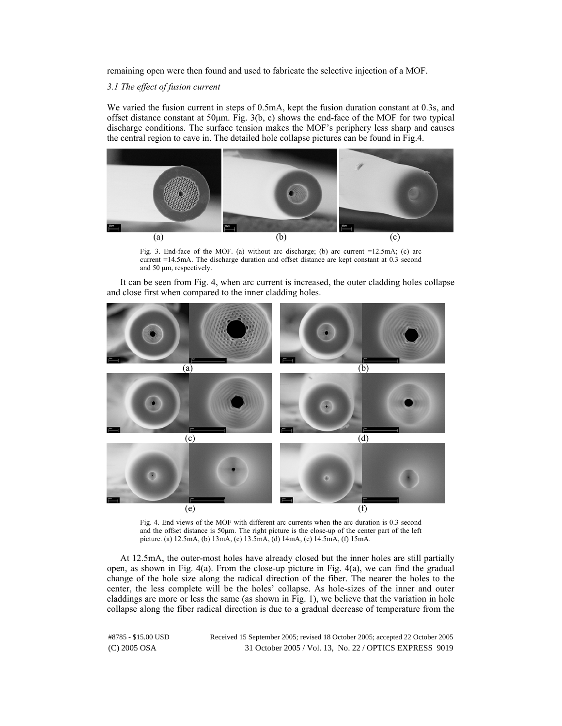remaining open were then found and used to fabricate the selective injection of a MOF.

*3.1 The effect of fusion current* 

We varied the fusion current in steps of 0.5mA, kept the fusion duration constant at 0.3s, and offset distance constant at  $50\mu$ m. Fig.  $3(b, c)$  shows the end-face of the MOF for two typical discharge conditions. The surface tension makes the MOF's periphery less sharp and causes the central region to cave in. The detailed hole collapse pictures can be found in Fig.4.



Fig. 3. End-face of the MOF. (a) without arc discharge; (b) arc current =12.5mA; (c) arc current =14.5mA. The discharge duration and offset distance are kept constant at 0.3 second and 50  $\mu$ m, respectively.

It can be seen from Fig. 4, when arc current is increased, the outer cladding holes collapse and close first when compared to the inner cladding holes.



Fig. 4. End views of the MOF with different arc currents when the arc duration is 0.3 second and the offset distance is  $50\mu$ m. The right picture is the close-up of the center part of the left picture. (a) 12.5mA, (b) 13mA, (c) 13.5mA, (d) 14mA, (e) 14.5mA, (f) 15mA.

At 12.5mA, the outer-most holes have already closed but the inner holes are still partially open, as shown in Fig. 4(a). From the close-up picture in Fig. 4(a), we can find the gradual change of the hole size along the radical direction of the fiber. The nearer the holes to the center, the less complete will be the holes' collapse. As hole-sizes of the inner and outer claddings are more or less the same (as shown in Fig. 1), we believe that the variation in hole collapse along the fiber radical direction is due to a gradual decrease of temperature from the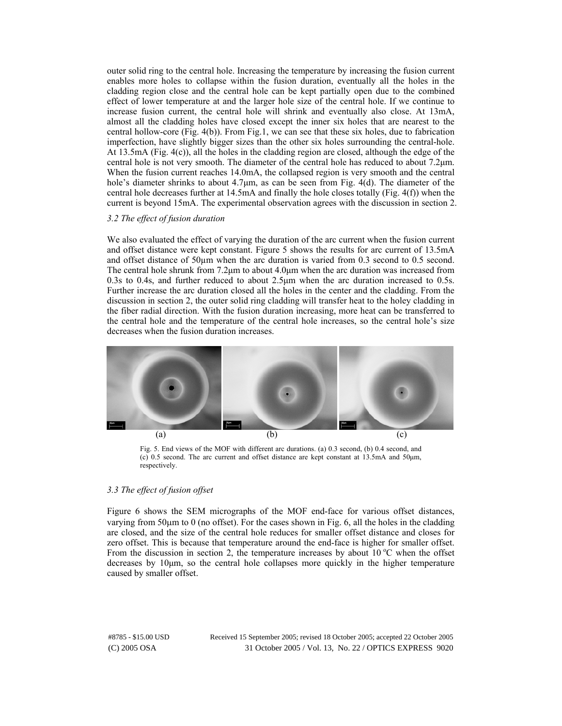outer solid ring to the central hole. Increasing the temperature by increasing the fusion current enables more holes to collapse within the fusion duration, eventually all the holes in the cladding region close and the central hole can be kept partially open due to the combined effect of lower temperature at and the larger hole size of the central hole. If we continue to increase fusion current, the central hole will shrink and eventually also close. At 13mA, almost all the cladding holes have closed except the inner six holes that are nearest to the central hollow-core (Fig. 4(b)). From Fig.1, we can see that these six holes, due to fabrication imperfection, have slightly bigger sizes than the other six holes surrounding the central-hole. At 13.5mA (Fig. 4(c)), all the holes in the cladding region are closed, although the edge of the central hole is not very smooth. The diameter of the central hole has reduced to about 7.2µm. When the fusion current reaches 14.0mA, the collapsed region is very smooth and the central hole's diameter shrinks to about 4.7 $\mu$ m, as can be seen from Fig. 4(d). The diameter of the central hole decreases further at 14.5mA and finally the hole closes totally (Fig. 4(f)) when the current is beyond 15mA. The experimental observation agrees with the discussion in section 2.

#### *3.2 The effect of fusion duration*

We also evaluated the effect of varying the duration of the arc current when the fusion current and offset distance were kept constant. Figure 5 shows the results for arc current of 13.5mA and offset distance of  $50\mu$ m when the arc duration is varied from 0.3 second to 0.5 second. The central hole shrunk from  $7.2\mu$ m to about  $4.0\mu$ m when the arc duration was increased from 0.3s to 0.4s, and further reduced to about 2.5µm when the arc duration increased to 0.5s. Further increase the arc duration closed all the holes in the center and the cladding. From the discussion in section 2, the outer solid ring cladding will transfer heat to the holey cladding in the fiber radial direction. With the fusion duration increasing, more heat can be transferred to the central hole and the temperature of the central hole increases, so the central hole's size decreases when the fusion duration increases.



Fig. 5. End views of the MOF with different arc durations. (a) 0.3 second, (b) 0.4 second, and (c) 0.5 second. The arc current and offset distance are kept constant at 13.5mA and 50µm, respectively.

# *3.3 The effect of fusion offset*

Figure 6 shows the SEM micrographs of the MOF end-face for various offset distances, varying from 50µm to 0 (no offset). For the cases shown in Fig. 6, all the holes in the cladding are closed, and the size of the central hole reduces for smaller offset distance and closes for zero offset. This is because that temperature around the end-face is higher for smaller offset. From the discussion in section 2, the temperature increases by about  $10^{\circ}$ C when the offset decreases by 10µm, so the central hole collapses more quickly in the higher temperature caused by smaller offset.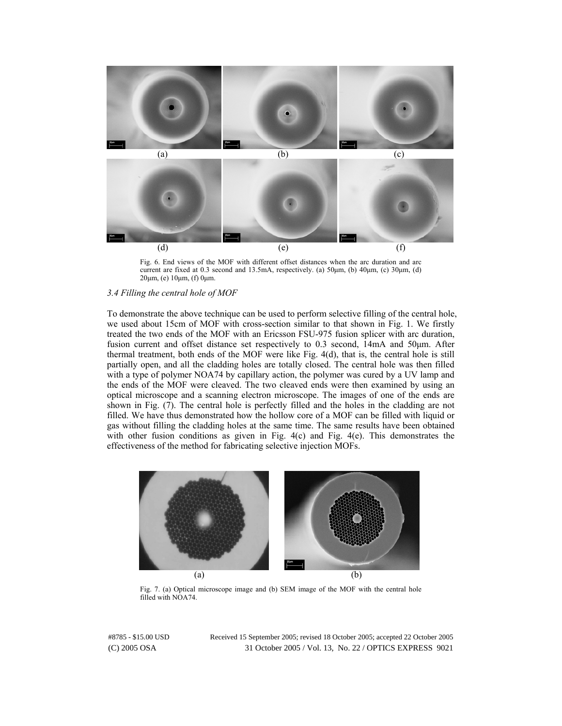

Fig. 6. End views of the MOF with different offset distances when the arc duration and arc current are fixed at 0.3 second and 13.5mA, respectively. (a) 50µm, (b) 40µm, (c) 30µm, (d) 20µm, (e) 10µm, (f) 0µm.

# *3.4 Filling the central hole of MOF*

To demonstrate the above technique can be used to perform selective filling of the central hole, we used about 15cm of MOF with cross-section similar to that shown in Fig. 1. We firstly treated the two ends of the MOF with an Ericsson FSU-975 fusion splicer with arc duration, fusion current and offset distance set respectively to 0.3 second, 14mA and 50µm. After thermal treatment, both ends of the MOF were like Fig. 4(d), that is, the central hole is still partially open, and all the cladding holes are totally closed. The central hole was then filled with a type of polymer NOA74 by capillary action, the polymer was cured by a UV lamp and the ends of the MOF were cleaved. The two cleaved ends were then examined by using an optical microscope and a scanning electron microscope. The images of one of the ends are shown in Fig. (7). The central hole is perfectly filled and the holes in the cladding are not filled. We have thus demonstrated how the hollow core of a MOF can be filled with liquid or gas without filling the cladding holes at the same time. The same results have been obtained with other fusion conditions as given in Fig. 4(c) and Fig. 4(e). This demonstrates the effectiveness of the method for fabricating selective injection MOFs.



Fig. 7. (a) Optical microscope image and (b) SEM image of the MOF with the central hole filled with NOA74.